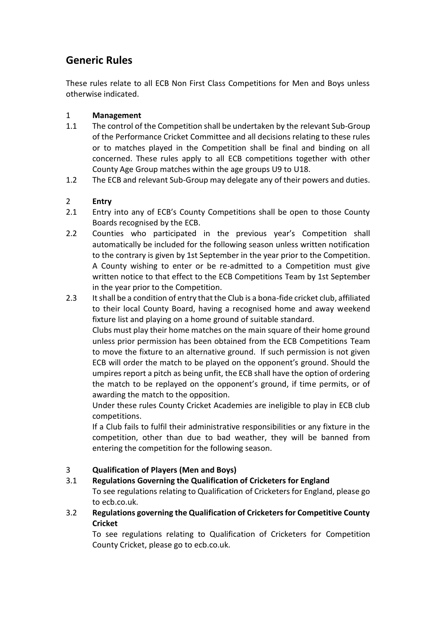# **Generic Rules**

These rules relate to all ECB Non First Class Competitions for Men and Boys unless otherwise indicated.

# 1 **Management**

- 1.1 The control of the Competition shall be undertaken by the relevant Sub-Group of the Performance Cricket Committee and all decisions relating to these rules or to matches played in the Competition shall be final and binding on all concerned. These rules apply to all ECB competitions together with other County Age Group matches within the age groups U9 to U18.
- 1.2 The ECB and relevant Sub-Group may delegate any of their powers and duties.

# 2 **Entry**

- 2.1 Entry into any of ECB's County Competitions shall be open to those County Boards recognised by the ECB.
- 2.2 Counties who participated in the previous year's Competition shall automatically be included for the following season unless written notification to the contrary is given by 1st September in the year prior to the Competition. A County wishing to enter or be re-admitted to a Competition must give written notice to that effect to the ECB Competitions Team by 1st September in the year prior to the Competition.
- 2.3 It shall be a condition of entry that the Club is a bona-fide cricket club, affiliated to their local County Board, having a recognised home and away weekend fixture list and playing on a home ground of suitable standard.

Clubs must play their home matches on the main square of their home ground unless prior permission has been obtained from the ECB Competitions Team to move the fixture to an alternative ground. If such permission is not given ECB will order the match to be played on the opponent's ground. Should the umpires report a pitch as being unfit, the ECB shall have the option of ordering the match to be replayed on the opponent's ground, if time permits, or of awarding the match to the opposition.

Under these rules County Cricket Academies are ineligible to play in ECB club competitions.

If a Club fails to fulfil their administrative responsibilities or any fixture in the competition, other than due to bad weather, they will be banned from entering the competition for the following season.

# 3 **Qualification of Players (Men and Boys)**

# 3.1 **Regulations Governing the Qualification of Cricketers for England**

To see regulations relating to Qualification of Cricketers for England, please go to ecb.co.uk.

3.2 **Regulations governing the Qualification of Cricketers for Competitive County Cricket**

To see regulations relating to Qualification of Cricketers for Competition County Cricket, please go to ecb.co.uk.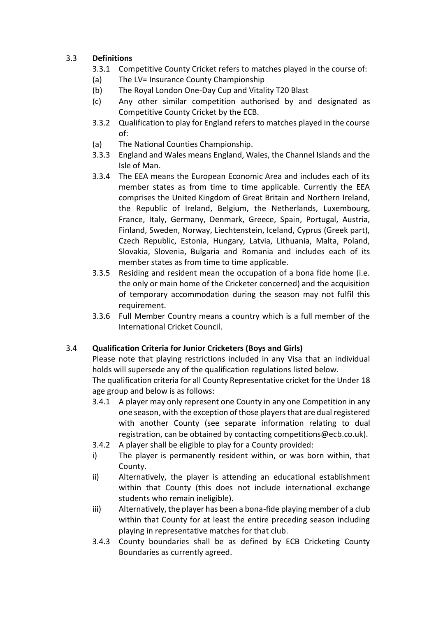# 3.3 **Definitions**

- 3.3.1 Competitive County Cricket refers to matches played in the course of:
- (a) The LV= Insurance County Championship
- (b) The Royal London One-Day Cup and Vitality T20 Blast
- (c) Any other similar competition authorised by and designated as Competitive County Cricket by the ECB.
- 3.3.2 Qualification to play for England refers to matches played in the course of:
- (a) The National Counties Championship.
- 3.3.3 England and Wales means England, Wales, the Channel Islands and the Isle of Man.
- 3.3.4 The EEA means the European Economic Area and includes each of its member states as from time to time applicable. Currently the EEA comprises the United Kingdom of Great Britain and Northern Ireland, the Republic of Ireland, Belgium, the Netherlands, Luxembourg, France, Italy, Germany, Denmark, Greece, Spain, Portugal, Austria, Finland, Sweden, Norway, Liechtenstein, Iceland, Cyprus (Greek part), Czech Republic, Estonia, Hungary, Latvia, Lithuania, Malta, Poland, Slovakia, Slovenia, Bulgaria and Romania and includes each of its member states as from time to time applicable.
- 3.3.5 Residing and resident mean the occupation of a bona fide home (i.e. the only or main home of the Cricketer concerned) and the acquisition of temporary accommodation during the season may not fulfil this requirement.
- 3.3.6 Full Member Country means a country which is a full member of the International Cricket Council.

# 3.4 **Qualification Criteria for Junior Cricketers (Boys and Girls)**

Please note that playing restrictions included in any Visa that an individual holds will supersede any of the qualification regulations listed below.

The qualification criteria for all County Representative cricket for the Under 18 age group and below is as follows:

- 3.4.1 A player may only represent one County in any one Competition in any one season, with the exception of those players that are dual registered with another County (see separate information relating to dual registration, can be obtained by contacting competitions@ecb.co.uk).
- 3.4.2 A player shall be eligible to play for a County provided:
- i) The player is permanently resident within, or was born within, that County.
- ii) Alternatively, the player is attending an educational establishment within that County (this does not include international exchange students who remain ineligible).
- iii) Alternatively, the player has been a bona-fide playing member of a club within that County for at least the entire preceding season including playing in representative matches for that club.
- 3.4.3 County boundaries shall be as defined by ECB Cricketing County Boundaries as currently agreed.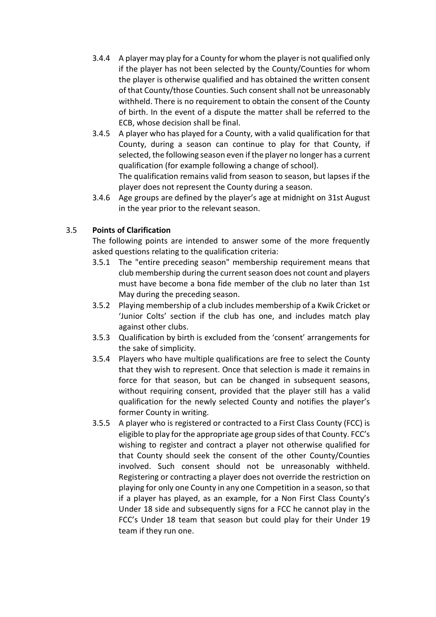- 3.4.4 A player may play for a County for whom the player is not qualified only if the player has not been selected by the County/Counties for whom the player is otherwise qualified and has obtained the written consent of that County/those Counties. Such consent shall not be unreasonably withheld. There is no requirement to obtain the consent of the County of birth. In the event of a dispute the matter shall be referred to the ECB, whose decision shall be final.
- 3.4.5 A player who has played for a County, with a valid qualification for that County, during a season can continue to play for that County, if selected, the following season even if the player no longer has a current qualification (for example following a change of school).

The qualification remains valid from season to season, but lapses if the player does not represent the County during a season.

3.4.6 Age groups are defined by the player's age at midnight on 31st August in the year prior to the relevant season.

# 3.5 **Points of Clarification**

The following points are intended to answer some of the more frequently asked questions relating to the qualification criteria:

- 3.5.1 The "entire preceding season" membership requirement means that club membership during the current season does not count and players must have become a bona fide member of the club no later than 1st May during the preceding season.
- 3.5.2 Playing membership of a club includes membership of a Kwik Cricket or 'Junior Colts' section if the club has one, and includes match play against other clubs.
- 3.5.3 Qualification by birth is excluded from the 'consent' arrangements for the sake of simplicity.
- 3.5.4 Players who have multiple qualifications are free to select the County that they wish to represent. Once that selection is made it remains in force for that season, but can be changed in subsequent seasons, without requiring consent, provided that the player still has a valid qualification for the newly selected County and notifies the player's former County in writing.
- 3.5.5 A player who is registered or contracted to a First Class County (FCC) is eligible to play for the appropriate age group sides of that County. FCC's wishing to register and contract a player not otherwise qualified for that County should seek the consent of the other County/Counties involved. Such consent should not be unreasonably withheld. Registering or contracting a player does not override the restriction on playing for only one County in any one Competition in a season, so that if a player has played, as an example, for a Non First Class County's Under 18 side and subsequently signs for a FCC he cannot play in the FCC's Under 18 team that season but could play for their Under 19 team if they run one.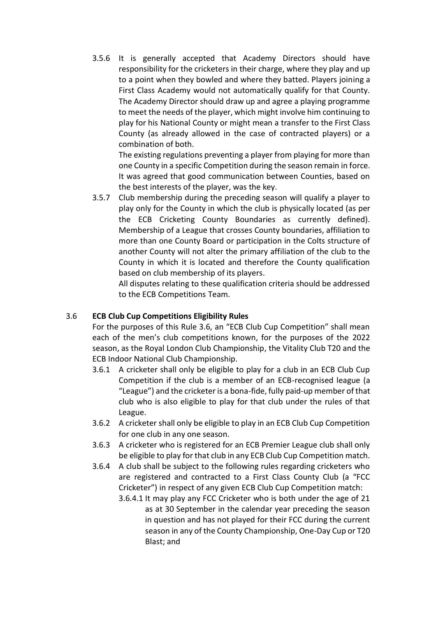3.5.6 It is generally accepted that Academy Directors should have responsibility for the cricketers in their charge, where they play and up to a point when they bowled and where they batted. Players joining a First Class Academy would not automatically qualify for that County. The Academy Director should draw up and agree a playing programme to meet the needs of the player, which might involve him continuing to play for his National County or might mean a transfer to the First Class County (as already allowed in the case of contracted players) or a combination of both.

The existing regulations preventing a player from playing for more than one County in a specific Competition during the season remain in force. It was agreed that good communication between Counties, based on the best interests of the player, was the key.

3.5.7 Club membership during the preceding season will qualify a player to play only for the County in which the club is physically located (as per the ECB Cricketing County Boundaries as currently defined). Membership of a League that crosses County boundaries, affiliation to more than one County Board or participation in the Colts structure of another County will not alter the primary affiliation of the club to the County in which it is located and therefore the County qualification based on club membership of its players.

All disputes relating to these qualification criteria should be addressed to the ECB Competitions Team.

# 3.6 **ECB Club Cup Competitions Eligibility Rules**

For the purposes of this Rule 3.6, an "ECB Club Cup Competition" shall mean each of the men's club competitions known, for the purposes of the 2022 season, as the Royal London Club Championship, the Vitality Club T20 and the ECB Indoor National Club Championship.

- 3.6.1 A cricketer shall only be eligible to play for a club in an ECB Club Cup Competition if the club is a member of an ECB-recognised league (a "League") and the cricketer is a bona-fide, fully paid-up member of that club who is also eligible to play for that club under the rules of that League.
- 3.6.2 A cricketer shall only be eligible to play in an ECB Club Cup Competition for one club in any one season.
- 3.6.3 A cricketer who is registered for an ECB Premier League club shall only be eligible to play for that club in any ECB Club Cup Competition match.
- 3.6.4 A club shall be subject to the following rules regarding cricketers who are registered and contracted to a First Class County Club (a "FCC Cricketer") in respect of any given ECB Club Cup Competition match:
	- 3.6.4.1 It may play any FCC Cricketer who is both under the age of 21 as at 30 September in the calendar year preceding the season in question and has not played for their FCC during the current season in any of the County Championship, One-Day Cup or T20 Blast; and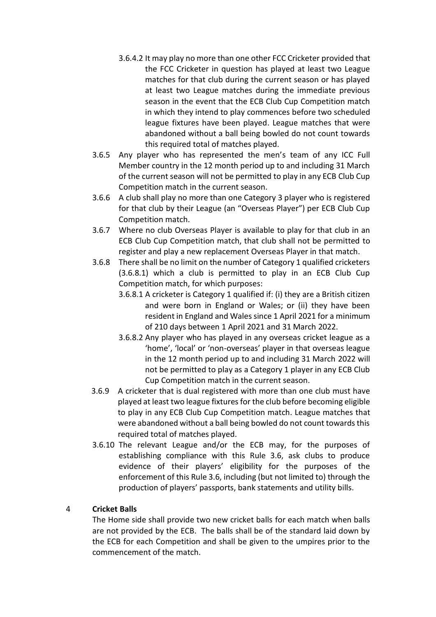- 3.6.4.2 It may play no more than one other FCC Cricketer provided that the FCC Cricketer in question has played at least two League matches for that club during the current season or has played at least two League matches during the immediate previous season in the event that the ECB Club Cup Competition match in which they intend to play commences before two scheduled league fixtures have been played. League matches that were abandoned without a ball being bowled do not count towards this required total of matches played.
- 3.6.5 Any player who has represented the men's team of any ICC Full Member country in the 12 month period up to and including 31 March of the current season will not be permitted to play in any ECB Club Cup Competition match in the current season.
- 3.6.6 A club shall play no more than one Category 3 player who is registered for that club by their League (an "Overseas Player") per ECB Club Cup Competition match.
- 3.6.7 Where no club Overseas Player is available to play for that club in an ECB Club Cup Competition match, that club shall not be permitted to register and play a new replacement Overseas Player in that match.
- 3.6.8 There shall be no limit on the number of Category 1 qualified cricketers (3.6.8.1) which a club is permitted to play in an ECB Club Cup Competition match, for which purposes:
	- 3.6.8.1 A cricketer is Category 1 qualified if: (i) they are a British citizen and were born in England or Wales; or (ii) they have been resident in England and Wales since 1 April 2021 for a minimum of 210 days between 1 April 2021 and 31 March 2022.
	- 3.6.8.2 Any player who has played in any overseas cricket league as a 'home', 'local' or 'non-overseas' player in that overseas league in the 12 month period up to and including 31 March 2022 will not be permitted to play as a Category 1 player in any ECB Club Cup Competition match in the current season.
- 3.6.9 A cricketer that is dual registered with more than one club must have played at least two league fixtures for the club before becoming eligible to play in any ECB Club Cup Competition match. League matches that were abandoned without a ball being bowled do not count towards this required total of matches played.
- 3.6.10 The relevant League and/or the ECB may, for the purposes of establishing compliance with this Rule 3.6, ask clubs to produce evidence of their players' eligibility for the purposes of the enforcement of this Rule 3.6, including (but not limited to) through the production of players' passports, bank statements and utility bills.

# 4 **Cricket Balls**

The Home side shall provide two new cricket balls for each match when balls are not provided by the ECB. The balls shall be of the standard laid down by the ECB for each Competition and shall be given to the umpires prior to the commencement of the match.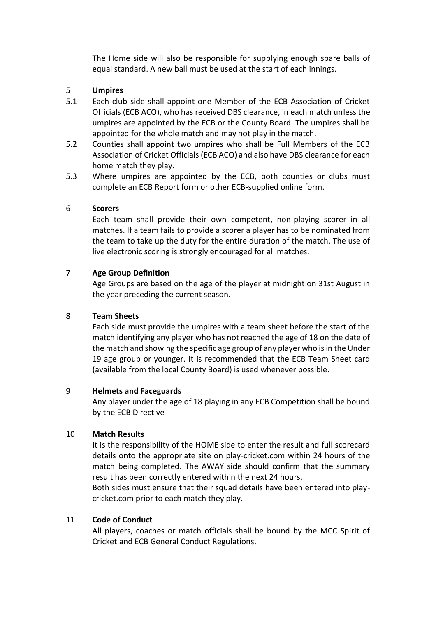The Home side will also be responsible for supplying enough spare balls of equal standard. A new ball must be used at the start of each innings.

## 5 **Umpires**

- 5.1 Each club side shall appoint one Member of the ECB Association of Cricket Officials (ECB ACO), who has received DBS clearance, in each match unless the umpires are appointed by the ECB or the County Board. The umpires shall be appointed for the whole match and may not play in the match.
- 5.2 Counties shall appoint two umpires who shall be Full Members of the ECB Association of Cricket Officials (ECB ACO) and also have DBS clearance for each home match they play.
- 5.3 Where umpires are appointed by the ECB, both counties or clubs must complete an ECB Report form or other ECB-supplied online form.

### 6 **Scorers**

Each team shall provide their own competent, non-playing scorer in all matches. If a team fails to provide a scorer a player has to be nominated from the team to take up the duty for the entire duration of the match. The use of live electronic scoring is strongly encouraged for all matches.

## 7 **Age Group Definition**

Age Groups are based on the age of the player at midnight on 31st August in the year preceding the current season.

# 8 **Team Sheets**

Each side must provide the umpires with a team sheet before the start of the match identifying any player who has not reached the age of 18 on the date of the match and showing the specific age group of any player who is in the Under 19 age group or younger. It is recommended that the ECB Team Sheet card (available from the local County Board) is used whenever possible.

### 9 **Helmets and Faceguards**

Any player under the age of 18 playing in any ECB Competition shall be bound by the ECB Directive

# 10 **Match Results**

It is the responsibility of the HOME side to enter the result and full scorecard details onto the appropriate site on play-cricket.com within 24 hours of the match being completed. The AWAY side should confirm that the summary result has been correctly entered within the next 24 hours.

Both sides must ensure that their squad details have been entered into playcricket.com prior to each match they play.

# 11 **Code of Conduct**

All players, coaches or match officials shall be bound by the MCC Spirit of Cricket and ECB General Conduct Regulations.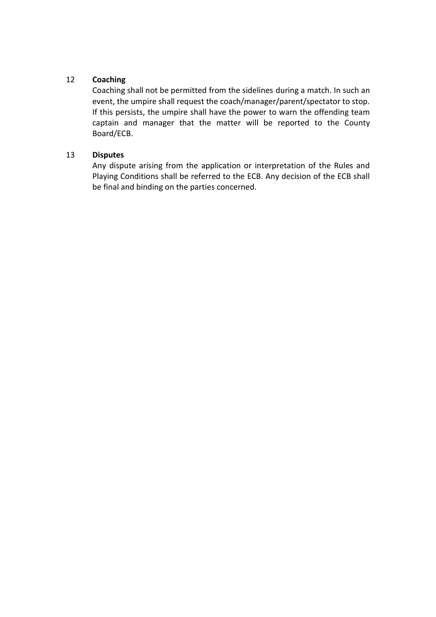# 12 **Coaching**

Coaching shall not be permitted from the sidelines during a match. In such an event, the umpire shall request the coach/manager/parent/spectator to stop. If this persists, the umpire shall have the power to warn the offending team captain and manager that the matter will be reported to the County Board/ECB.

# 13 **Disputes**

Any dispute arising from the application or interpretation of the Rules and Playing Conditions shall be referred to the ECB. Any decision of the ECB shall be final and binding on the parties concerned.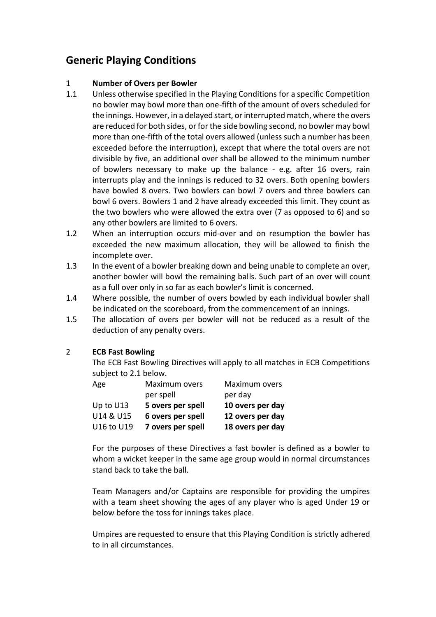# **Generic Playing Conditions**

## 1 **Number of Overs per Bowler**

- 1.1 Unless otherwise specified in the Playing Conditions for a specific Competition no bowler may bowl more than one-fifth of the amount of overs scheduled for the innings. However, in a delayed start, or interrupted match, where the overs are reduced for both sides, or for the side bowling second, no bowler may bowl more than one-fifth of the total overs allowed (unless such a number has been exceeded before the interruption), except that where the total overs are not divisible by five, an additional over shall be allowed to the minimum number of bowlers necessary to make up the balance - e.g. after 16 overs, rain interrupts play and the innings is reduced to 32 overs. Both opening bowlers have bowled 8 overs. Two bowlers can bowl 7 overs and three bowlers can bowl 6 overs. Bowlers 1 and 2 have already exceeded this limit. They count as the two bowlers who were allowed the extra over (7 as opposed to 6) and so any other bowlers are limited to 6 overs.
- 1.2 When an interruption occurs mid-over and on resumption the bowler has exceeded the new maximum allocation, they will be allowed to finish the incomplete over.
- 1.3 In the event of a bowler breaking down and being unable to complete an over, another bowler will bowl the remaining balls. Such part of an over will count as a full over only in so far as each bowler's limit is concerned.
- 1.4 Where possible, the number of overs bowled by each individual bowler shall be indicated on the scoreboard, from the commencement of an innings.
- 1.5 The allocation of overs per bowler will not be reduced as a result of the deduction of any penalty overs.

# 2 **ECB Fast Bowling**

The ECB Fast Bowling Directives will apply to all matches in ECB Competitions subject to 2.1 below.

| Age        | Maximum overs     | Maximum overs    |
|------------|-------------------|------------------|
|            | per spell         | per day          |
| Up to U13  | 5 overs per spell | 10 overs per day |
| U14 & U15  | 6 overs per spell | 12 overs per day |
| U16 to U19 | 7 overs per spell | 18 overs per day |

For the purposes of these Directives a fast bowler is defined as a bowler to whom a wicket keeper in the same age group would in normal circumstances stand back to take the ball.

Team Managers and/or Captains are responsible for providing the umpires with a team sheet showing the ages of any player who is aged Under 19 or below before the toss for innings takes place.

Umpires are requested to ensure that this Playing Condition is strictly adhered to in all circumstances.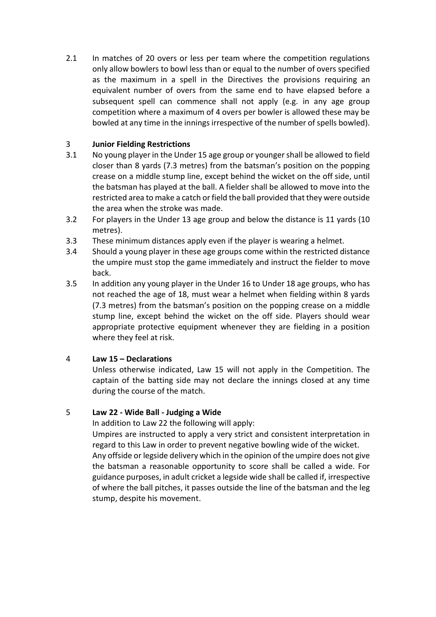2.1 In matches of 20 overs or less per team where the competition regulations only allow bowlers to bowl less than or equal to the number of overs specified as the maximum in a spell in the Directives the provisions requiring an equivalent number of overs from the same end to have elapsed before a subsequent spell can commence shall not apply (e.g. in any age group competition where a maximum of 4 overs per bowler is allowed these may be bowled at any time in the innings irrespective of the number of spells bowled).

# 3 **Junior Fielding Restrictions**

- 3.1 No young player in the Under 15 age group or younger shall be allowed to field closer than 8 yards (7.3 metres) from the batsman's position on the popping crease on a middle stump line, except behind the wicket on the off side, until the batsman has played at the ball. A fielder shall be allowed to move into the restricted area to make a catch or field the ball provided that they were outside the area when the stroke was made.
- 3.2 For players in the Under 13 age group and below the distance is 11 yards (10 metres).
- 3.3 These minimum distances apply even if the player is wearing a helmet.
- 3.4 Should a young player in these age groups come within the restricted distance the umpire must stop the game immediately and instruct the fielder to move back.
- 3.5 In addition any young player in the Under 16 to Under 18 age groups, who has not reached the age of 18, must wear a helmet when fielding within 8 yards (7.3 metres) from the batsman's position on the popping crease on a middle stump line, except behind the wicket on the off side. Players should wear appropriate protective equipment whenever they are fielding in a position where they feel at risk.

# 4 **Law 15 – Declarations**

Unless otherwise indicated, Law 15 will not apply in the Competition. The captain of the batting side may not declare the innings closed at any time during the course of the match.

# 5 **Law 22 - Wide Ball - Judging a Wide**

In addition to Law 22 the following will apply:

Umpires are instructed to apply a very strict and consistent interpretation in regard to this Law in order to prevent negative bowling wide of the wicket. Any offside or legside delivery which in the opinion of the umpire does not give the batsman a reasonable opportunity to score shall be called a wide. For guidance purposes, in adult cricket a legside wide shall be called if, irrespective of where the ball pitches, it passes outside the line of the batsman and the leg stump, despite his movement.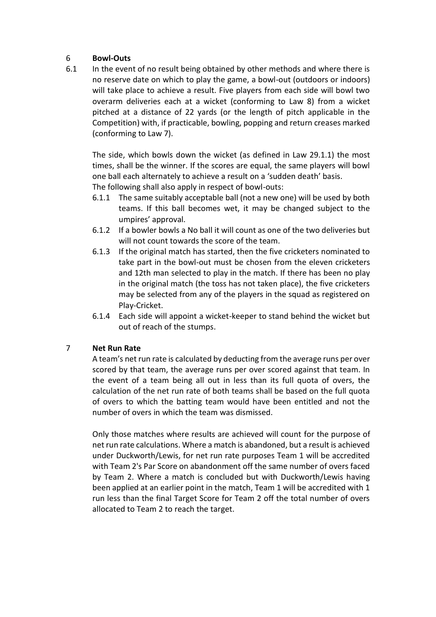## 6 **Bowl-Outs**

6.1 In the event of no result being obtained by other methods and where there is no reserve date on which to play the game, a bowl-out (outdoors or indoors) will take place to achieve a result. Five players from each side will bowl two overarm deliveries each at a wicket (conforming to Law 8) from a wicket pitched at a distance of 22 yards (or the length of pitch applicable in the Competition) with, if practicable, bowling, popping and return creases marked (conforming to Law 7).

The side, which bowls down the wicket (as defined in Law 29.1.1) the most times, shall be the winner. If the scores are equal, the same players will bowl one ball each alternately to achieve a result on a 'sudden death' basis.

The following shall also apply in respect of bowl-outs:

- 6.1.1 The same suitably acceptable ball (not a new one) will be used by both teams. If this ball becomes wet, it may be changed subject to the umpires' approval.
- 6.1.2 If a bowler bowls a No ball it will count as one of the two deliveries but will not count towards the score of the team.
- 6.1.3 If the original match has started, then the five cricketers nominated to take part in the bowl-out must be chosen from the eleven cricketers and 12th man selected to play in the match. If there has been no play in the original match (the toss has not taken place), the five cricketers may be selected from any of the players in the squad as registered on Play-Cricket.
- 6.1.4 Each side will appoint a wicket-keeper to stand behind the wicket but out of reach of the stumps.

### 7 **Net Run Rate**

A team's net run rate is calculated by deducting from the average runs per over scored by that team, the average runs per over scored against that team. In the event of a team being all out in less than its full quota of overs, the calculation of the net run rate of both teams shall be based on the full quota of overs to which the batting team would have been entitled and not the number of overs in which the team was dismissed.

Only those matches where results are achieved will count for the purpose of net run rate calculations. Where a match is abandoned, but a result is achieved under Duckworth/Lewis, for net run rate purposes Team 1 will be accredited with Team 2's Par Score on abandonment off the same number of overs faced by Team 2. Where a match is concluded but with Duckworth/Lewis having been applied at an earlier point in the match, Team 1 will be accredited with 1 run less than the final Target Score for Team 2 off the total number of overs allocated to Team 2 to reach the target.